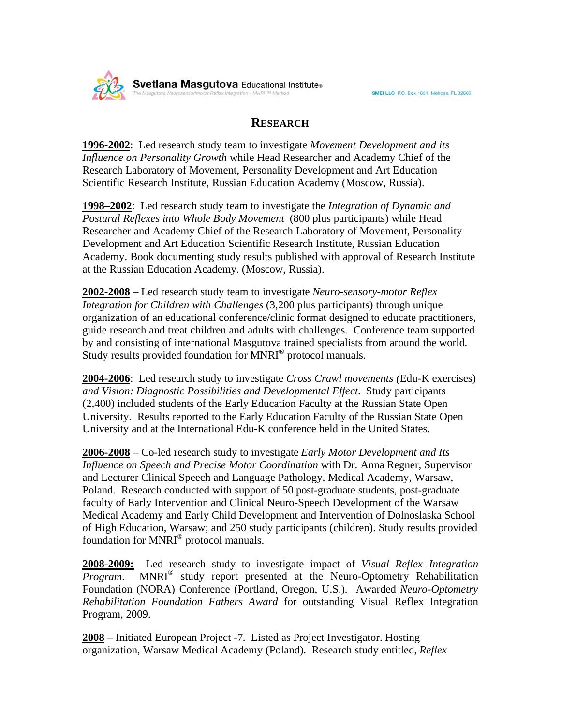

## **RESEARCH**

**1996-2002**: Led research study team to investigate *Movement Development and its Influence on Personality Growth* while Head Researcher and Academy Chief of the Research Laboratory of Movement, Personality Development and Art Education Scientific Research Institute, Russian Education Academy (Moscow, Russia).

**1998–2002**: Led research study team to investigate the *Integration of Dynamic and Postural Reflexes into Whole Body Movement* (800 plus participants) while Head Researcher and Academy Chief of the Research Laboratory of Movement, Personality Development and Art Education Scientific Research Institute, Russian Education Academy. Book documenting study results published with approval of Research Institute at the Russian Education Academy. (Moscow, Russia).

**2002-2008** – Led research study team to investigate *Neuro-sensory-motor Reflex Integration for Children with Challenges* (3,200 plus participants) through unique organization of an educational conference/clinic format designed to educate practitioners, guide research and treat children and adults with challenges. Conference team supported by and consisting of international Masgutova trained specialists from around the world. Study results provided foundation for MNRI<sup>®</sup> protocol manuals.

**2004-2006**: Led research study to investigate *Cross Crawl movements (*Edu-K exercises) *and Vision: Diagnostic Possibilities and Developmental Effect*. Study participants (2,400) included students of the Early Education Faculty at the Russian State Open University. Results reported to the Early Education Faculty of the Russian State Open University and at the International Edu-K conference held in the United States.

**2006-2008** – Co-led research study to investigate *Early Motor Development and Its Influence on Speech and Precise Motor Coordination* with Dr. Anna Regner, Supervisor and Lecturer Clinical Speech and Language Pathology, Medical Academy, Warsaw, Poland. Research conducted with support of 50 post-graduate students, post-graduate faculty of Early Intervention and Clinical Neuro-Speech Development of the Warsaw Medical Academy and Early Child Development and Intervention of Dolnoslaska School of High Education, Warsaw; and 250 study participants (children). Study results provided foundation for MNRI® protocol manuals.

**2008-2009:** Led research study to investigate impact of *Visual Reflex Integration Program*. MNRI® study report presented at the Neuro-Optometry Rehabilitation Foundation (NORA) Conference (Portland, Oregon, U.S.). Awarded *Neuro-Optometry Rehabilitation Foundation Fathers Award* for outstanding Visual Reflex Integration Program, 2009.

**2008** – Initiated European Project -7. Listed as Project Investigator. Hosting organization, Warsaw Medical Academy (Poland). Research study entitled, *Reflex*